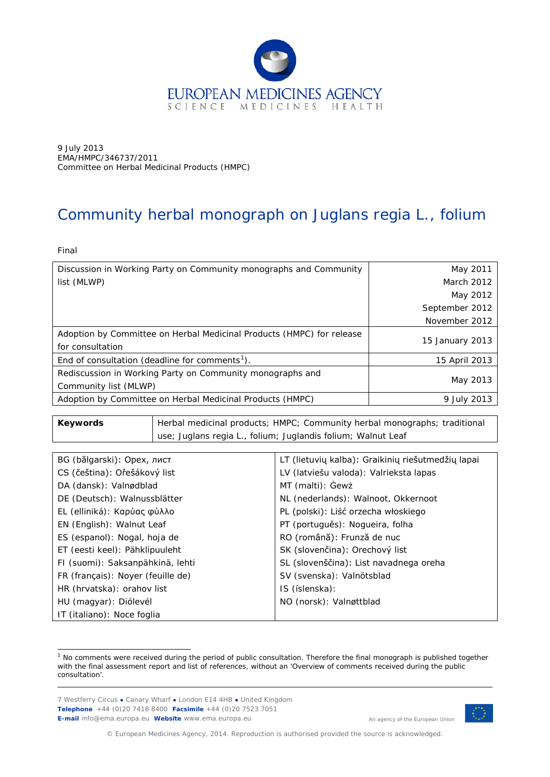

9 July 2013 EMA/HMPC/346737/2011 Committee on Herbal Medicinal Products (HMPC)

# Community herbal monograph on *Juglans regia* L., folium

Final

| Discussion in Working Party on Community monographs and Community     | May 2011        |
|-----------------------------------------------------------------------|-----------------|
| list (MLWP)                                                           | March 2012      |
|                                                                       | May 2012        |
|                                                                       | September 2012  |
|                                                                       | November 2012   |
| Adoption by Committee on Herbal Medicinal Products (HMPC) for release |                 |
| for consultation                                                      | 15 January 2013 |
| End of consultation (deadline for comments <sup>1</sup> ).            | 15 April 2013   |
| Rediscussion in Working Party on Community monographs and             |                 |
| Community list (MLWP)                                                 | May 2013        |
| Adoption by Committee on Herbal Medicinal Products (HMPC)             | 9 July 2013     |

**Keywords** | Herbal medicinal products; HMPC; Community herbal monographs; traditional use; *Juglans regia* L., folium; Juglandis folium; Walnut Leaf

| BG (bălgarski): Орех, лист        | LT (lietuvių kalba): Graikinių riešutmedžių lapai |
|-----------------------------------|---------------------------------------------------|
| CS (čeština): Ořešákový list      | LV (latviešu valoda): Valrieksta lapas            |
| DA (dansk): Valnødblad            | MT (malti): Gewż                                  |
| DE (Deutsch): Walnussblätter      | NL (nederlands): Walnoot, Okkernoot               |
| EL (elliniká): Καρύας φύλλο       | PL (polski): Liść orzecha włoskiego               |
| EN (English): Walnut Leaf         | PT (português): Nogueira, folha                   |
| ES (espanol): Nogal, hoja de      | RO (română): Frunză de nuc                        |
| ET (eesti keel): Pähklipuuleht    | SK (slovenčina): Orechový list                    |
| FI (suomi): Saksanpähkinä, lehti  | SL (slovenščina): List navadnega oreha            |
| FR (français): Noyer (feuille de) | SV (svenska): Valnötsblad                         |
| HR (hrvatska): orahov list        | IS (íslenska):                                    |
| HU (magyar): Diólevél             | NO (norsk): Valnøttblad                           |
| IT (italiano): Noce foglia        |                                                   |

<span id="page-0-0"></span> $1$  No comments were received during the period of public consultation. Therefore the final monograph is published together with the final assessment report and list of references, without an 'Overview of comments received during the public consultation'. ł

7 Westferry Circus **●** Canary Wharf **●** London E14 4HB **●** United Kingdom **Telephone** +44 (0)20 7418 8400 **Facsimile** +44 (0)20 7523 7051 **E-mail** info@ema.europa.eu **Website** www.ema.europa.eu



An agency of the European Union

© European Medicines Agency, 2014. Reproduction is authorised provided the source is acknowledged.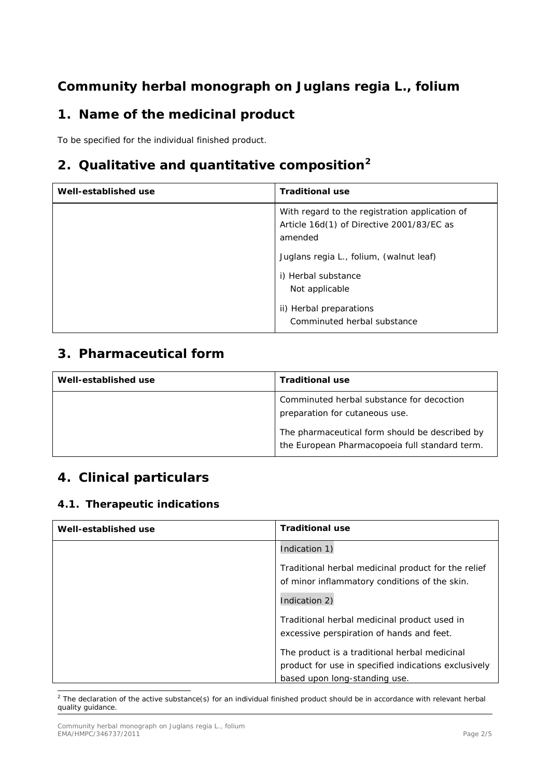# **Community herbal monograph on** *Juglans regia* **L., folium**

## **1. Name of the medicinal product**

To be specified for the individual finished product.

# **2. Qualitative and quantitative composition[2](#page-1-0)**

| Well-established use | <b>Traditional use</b>                                                                                                                                                                                                                               |
|----------------------|------------------------------------------------------------------------------------------------------------------------------------------------------------------------------------------------------------------------------------------------------|
|                      | With regard to the registration application of<br>Article 16d(1) of Directive 2001/83/EC as<br>amended<br>Juglans regia L., folium, (walnut leaf)<br>i) Herbal substance<br>Not applicable<br>ii) Herbal preparations<br>Comminuted herbal substance |

### **3. Pharmaceutical form**

| Well-established use | <b>Traditional use</b>                                                                           |
|----------------------|--------------------------------------------------------------------------------------------------|
|                      | Comminuted herbal substance for decoction<br>preparation for cutaneous use.                      |
|                      | The pharmaceutical form should be described by<br>the European Pharmacopoeia full standard term. |

## **4. Clinical particulars**

#### *4.1. Therapeutic indications*

| Well-established use | <b>Traditional use</b>                                                                                |
|----------------------|-------------------------------------------------------------------------------------------------------|
|                      | Indication 1)                                                                                         |
|                      | Traditional herbal medicinal product for the relief<br>of minor inflammatory conditions of the skin.  |
|                      | Indication 2)                                                                                         |
|                      | Traditional herbal medicinal product used in<br>excessive perspiration of hands and feet.             |
|                      | The product is a traditional herbal medicinal<br>product for use in specified indications exclusively |
|                      | based upon long-standing use.                                                                         |

<span id="page-1-0"></span> $<sup>2</sup>$  The declaration of the active substance(s) for an individual finished product should be in accordance with relevant herbal</sup> quality guidance. ł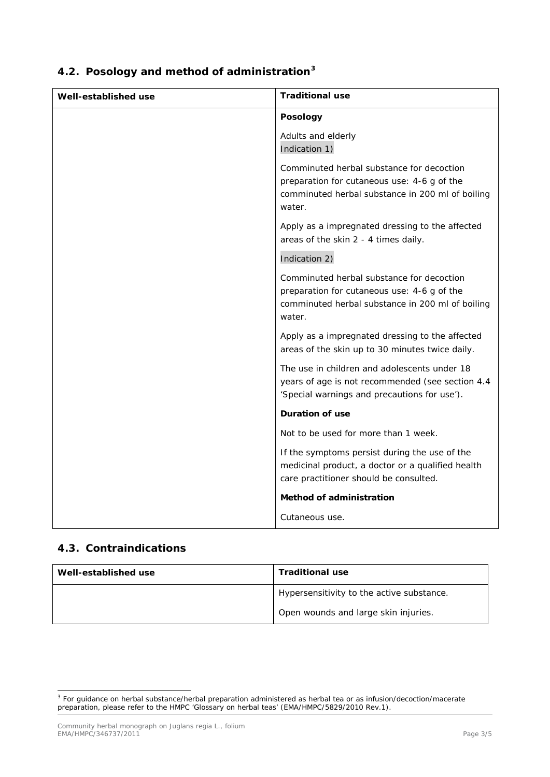| Well-established use | <b>Traditional use</b>                                                                                                                                 |
|----------------------|--------------------------------------------------------------------------------------------------------------------------------------------------------|
|                      | <b>Posology</b>                                                                                                                                        |
|                      | Adults and elderly<br>Indication 1)                                                                                                                    |
|                      | Comminuted herbal substance for decoction<br>preparation for cutaneous use: 4-6 g of the<br>comminuted herbal substance in 200 ml of boiling<br>water. |
|                      | Apply as a impregnated dressing to the affected<br>areas of the skin 2 - 4 times daily.                                                                |
|                      | Indication 2)                                                                                                                                          |
|                      | Comminuted herbal substance for decoction<br>preparation for cutaneous use: 4-6 g of the<br>comminuted herbal substance in 200 ml of boiling<br>water. |
|                      | Apply as a impregnated dressing to the affected<br>areas of the skin up to 30 minutes twice daily.                                                     |
|                      | The use in children and adolescents under 18<br>years of age is not recommended (see section 4.4<br>'Special warnings and precautions for use').       |
|                      | Duration of use                                                                                                                                        |
|                      | Not to be used for more than 1 week.                                                                                                                   |
|                      | If the symptoms persist during the use of the<br>medicinal product, a doctor or a qualified health<br>care practitioner should be consulted.           |
|                      | Method of administration                                                                                                                               |
|                      | Cutaneous use.                                                                                                                                         |

## *4.2. Posology and method of administration[3](#page-2-0)*

#### *4.3. Contraindications*

ł

| Well-established use | <b>Traditional use</b>                    |
|----------------------|-------------------------------------------|
|                      | Hypersensitivity to the active substance. |
|                      | Open wounds and large skin injuries.      |

<span id="page-2-0"></span><sup>&</sup>lt;sup>3</sup> For guidance on herbal substance/herbal preparation administered as herbal tea or as infusion/decoction/macerate preparation, please refer to the HMPC 'Glossary on herbal teas' (EMA/HMPC/5829/2010 Rev.1).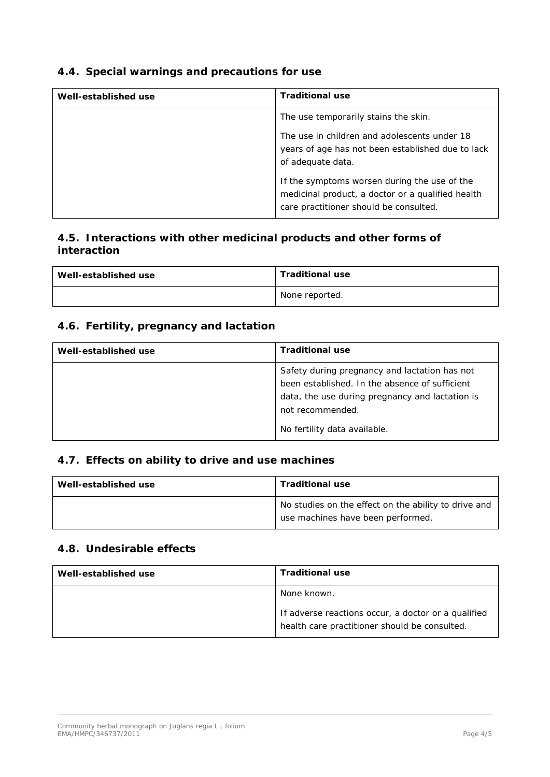#### *4.4. Special warnings and precautions for use*

| Well-established use | <b>Traditional use</b>                                                                                                                      |
|----------------------|---------------------------------------------------------------------------------------------------------------------------------------------|
|                      | The use temporarily stains the skin.                                                                                                        |
|                      | The use in children and adolescents under 18<br>years of age has not been established due to lack<br>of adequate data.                      |
|                      | If the symptoms worsen during the use of the<br>medicinal product, a doctor or a qualified health<br>care practitioner should be consulted. |

#### *4.5. Interactions with other medicinal products and other forms of interaction*

| Well-established use | <b>Traditional use</b> |
|----------------------|------------------------|
|                      | None reported.         |

#### *4.6. Fertility, pregnancy and lactation*

| Well-established use | <b>Traditional use</b>                                                                                                                                                                                 |
|----------------------|--------------------------------------------------------------------------------------------------------------------------------------------------------------------------------------------------------|
|                      | Safety during pregnancy and lactation has not<br>been established. In the absence of sufficient<br>data, the use during pregnancy and lactation is<br>not recommended.<br>No fertility data available. |

#### *4.7. Effects on ability to drive and use machines*

| Well-established use | <b>Traditional use</b>                                                                    |
|----------------------|-------------------------------------------------------------------------------------------|
|                      | No studies on the effect on the ability to drive and<br>use machines have been performed. |

#### *4.8. Undesirable effects*

| Well-established use | <b>Traditional use</b>                                                                               |
|----------------------|------------------------------------------------------------------------------------------------------|
|                      | None known.                                                                                          |
|                      | If adverse reactions occur, a doctor or a qualified<br>health care practitioner should be consulted. |